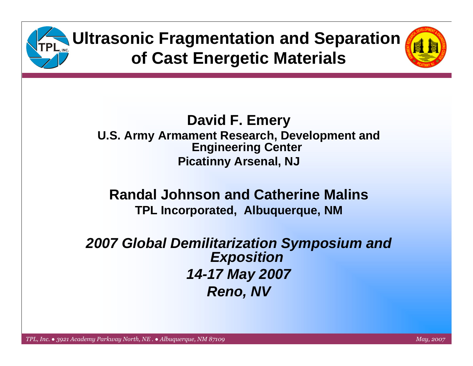

#### **David F. Emery U.S. Army Armament Research, Development and Engineering Center Picatinny Arsenal, NJ**

#### **Randal Johnson and Catherine MalinsTPL Incorporated, Albuquerque, NM**

#### *2007 Global Demilitarization Symposium and Exposition 14-17 May 2007 Reno, NV*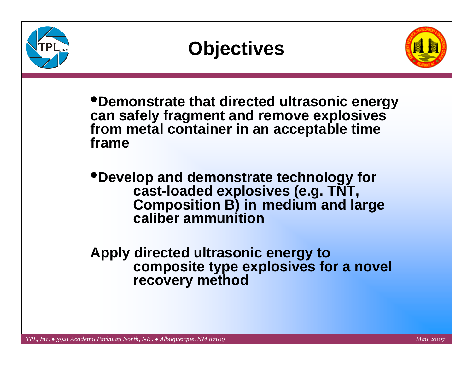



•**Demonstrate that directed ultrasonic energy can safely fragment and remove explosives from metal container in an acceptable time frame**

•**Develop and demonstrate technology for cast-loaded explosives (e.g. TNT, Composition B) in medium and large caliber ammunition**

**Apply directed ultrasonic energy to composite type explosives for a novel recovery method**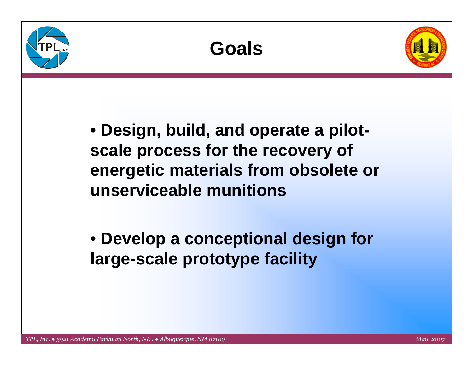





• **Design, build, and operate a pilotscale process for the recovery of energetic materials from obsolete or unserviceable munitions**

• **Develop a conceptional design for large-scale prototype facility**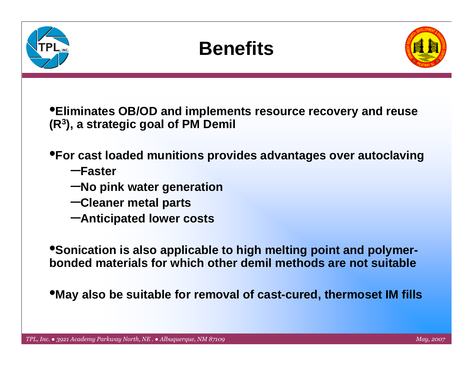



•**Eliminates OB/OD and implements resource recovery and reuse (R3), a strategic goal of PM Demil**

•**For cast loaded munitions provides advantages over autoclaving**

- –**Faster**
- –**No pink water generation**
- –**Cleaner metal parts**
- –**Anticipated lower costs**

•**Sonication is also applicable to high melting point and polymerbonded materials for which other demil methods are not suitable**

•**May also be suitable for removal of cast-cured, thermoset IM fills**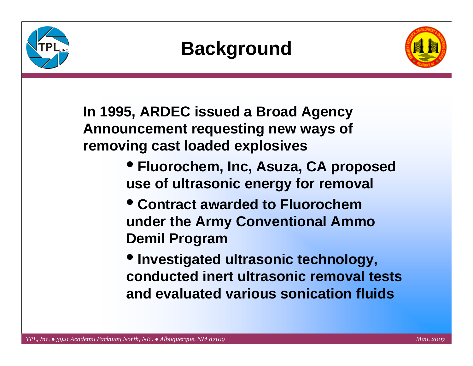



**In 1995, ARDEC issued a Broad Agency Announcement requesting new ways of removing cast loaded explosives** 

- **Fluorochem, Inc, Asuza, CA proposed use of ultrasonic energy for removal**
- **Contract awarded to Fluorochemunder the Army Conventional Ammo Demil Program**
- **Investigated ultrasonic technology, conducted inert ultrasonic removal tests and evaluated various sonication fluids**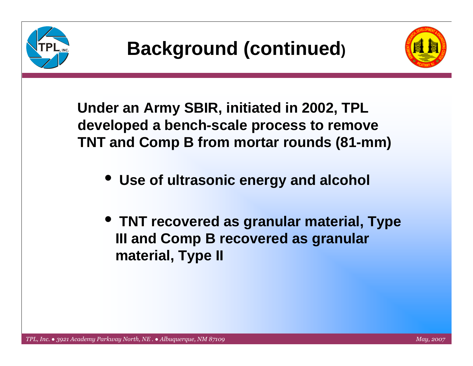



**Under an Army SBIR, initiated in 2002, TPL developed a bench-scale process to remove TNT and Comp B from mortar rounds (81-mm)**

- $\bullet$ **Use of ultrasonic energy and alcohol**
- **TNT recovered as granular material, Type III and Comp B recovered as granular material, Type II**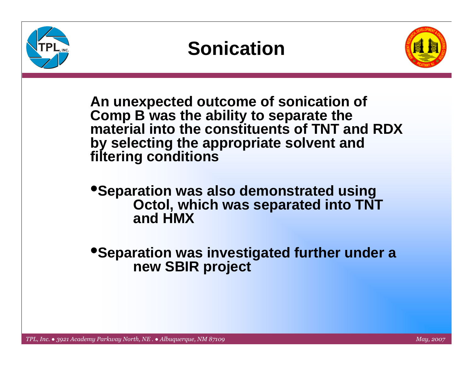





**An unexpected outcome of sonication of Comp B was the ability to separate the material into the constituents of TNT and RDX by selecting the appropriate solvent and filtering conditions** 

•**Separation was also demonstrated using Octol, which was separated into TNT and HMX** 

•**Separation was investigated further under a new SBIR project**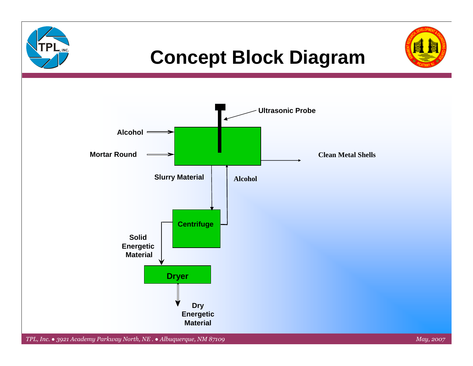

## **Concept Block Diagram**



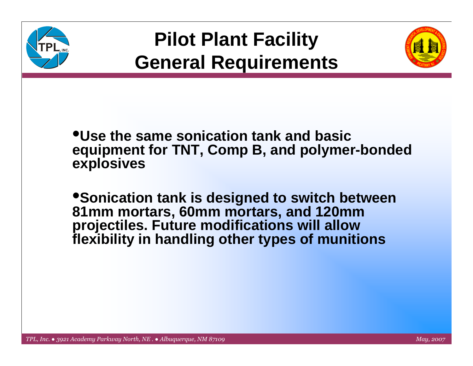



#### •**Use the same sonication tank and basic equipment for TNT, Comp B, and polymer-bonded explosives**

•**Sonication tank is designed to switch between 81mm mortars, 60mm mortars, and 120mm projectiles. Future modifications will allow flexibility in handling other types of munitions**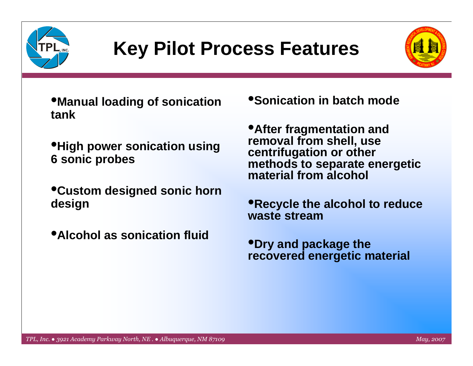

# **Key Pilot Process Features**



•**Manual loading of sonication tank**

- •**High power sonication using 6 sonic probes**
- •**Custom designed sonic horn design**
- •**Alcohol as sonication fluid**

•**Sonication in batch mode**

•**After fragmentation and removal from shell, use centrifugation or other methods to separate energetic material from alcohol**

•**Recycle the alcohol to reduce waste stream**

•**Dry and package the recovered energetic material**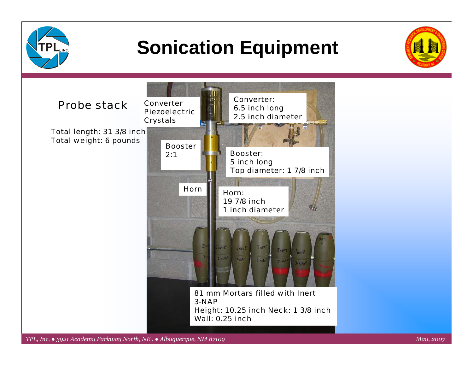

# **Sonication Equipment**



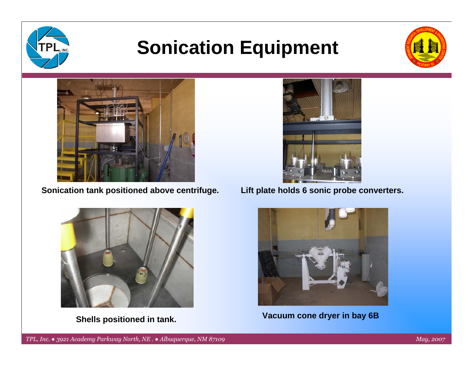

# **Sonication Equipment**





**Sonication tank positioned above centrifuge.**



**Shells positioned in tank.**



**Lift plate holds 6 sonic probe converters.**



**Vacuum cone dryer in bay 6B**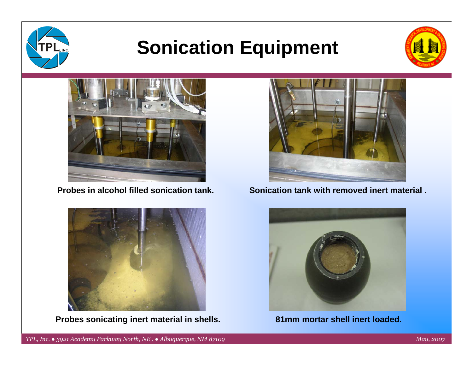

# **Sonication Equipment**





**Probes in alcohol filled sonication tank.**



**Probes sonicating inert material in shells. 81mm mortar shell inert loaded.** 



#### **Sonication tank with removed inert material .**

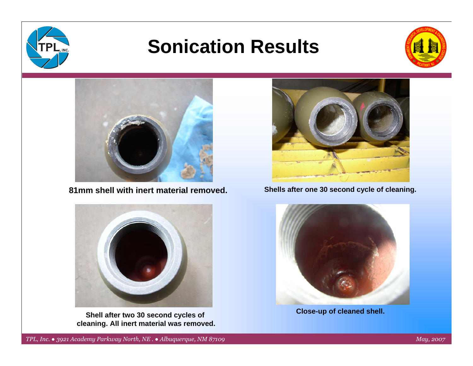

## **Sonication Results**





**81mm shell with inert material removed.**



**Shell after two 30 second cycles of cleaning. All inert material was removed.**



#### **Shells after one 30 second cycle of cleaning.**



**Close-up of cleaned shell.**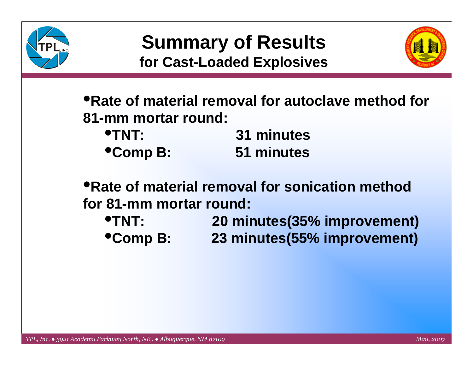



•**Rate of material removal for autoclave method for 81-mm mortar round:**

| <b>OTNT:</b>   | 31 minutes |
|----------------|------------|
| <b>Comp B:</b> | 51 minutes |

•**Rate of material removal for sonication method for 81-mm mortar round:**

•**TNT: 20 minutes(35% improvement)** •**Comp B: 23 minutes(55% improvement)**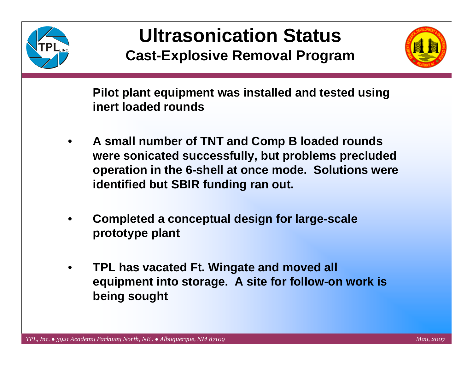

### **Ultrasonication Status Cast-Explosive Removal Program**



 **Pilot plant equipment was installed and tested using inert loaded rounds**

- • **A small number of TNT and Comp B loaded rounds were sonicated successfully, but problems precluded operation in the 6-shell at once mode. Solutions were identified but SBIR funding ran out.**
- • **Completed a conceptual design for large-scale prototype plant**
- • **TPL has vacated Ft. Wingate and moved all equipment into storage. A site for follow-on work is being sought**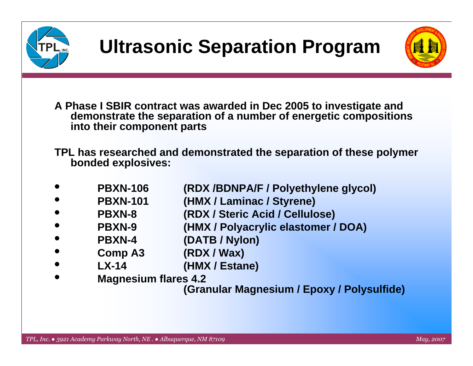



- **A Phase I SBIR contract was awarded in Dec 2005 to investigate and demonstrate the separation of a number of energetic compositions into their component parts**
- **TPL has researched and demonstrated the separation of these polymer bonded explosives:**
- •**PBXN-106 (RDX /BDNPA/F / Polyethylene glycol)**
- •PBXN-101 (HMX / Laminac / Styrene)
- •**PBXN-8 (RDX / Steric Acid / Cellulose)**
- •**PBXN-9 (HMX / Polyacrylic elastomer / DOA)**
- •**PBXN-4 (DATB / Nylon)**
- •**Comp A3 (RDX / Wax)**
- •**LX-14 (HMX / Estane)**
- •**Magnesium flares 4.2**

**(Granular Magnesium / Epoxy / Polysulfide)**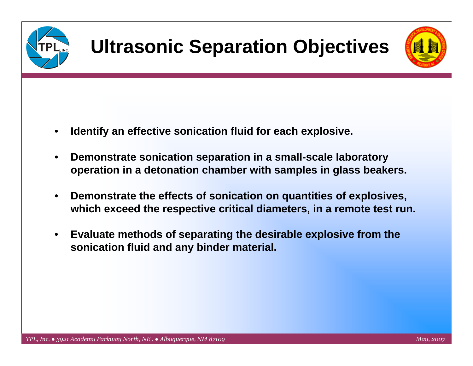



- •**Identify an effective sonication fluid for each explosive.**
- • **Demonstrate sonication separation in a small-scale laboratory operation in a detonation chamber with samples in glass beakers.**
- • **Demonstrate the effects of sonication on quantities of explosives, which exceed the respective critical diameters, in a remote test run.**
- • **Evaluate methods of separating the desirable explosive from the sonication fluid and any binder material.**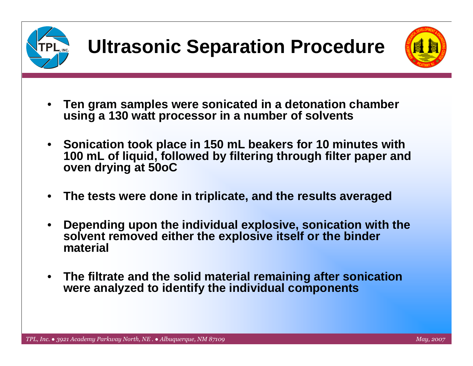



- $\bullet$  **Ten gram samples were sonicated in a detonation chamber using a 130 watt processor in a number of solvents**
- $\bullet$  **Sonication took place in 150 mL beakers for 10 minutes with 100 mL of liquid, followed by filtering through filter paper and oven drying at 50oC**
- •**The tests were done in triplicate, and the results averaged**
- • **Depending upon the individual explosive, sonication with the solvent removed either the explosive itself or the binder material**
- $\bullet$  **The filtrate and the solid material remaining after sonication were analyzed to identify the individual components**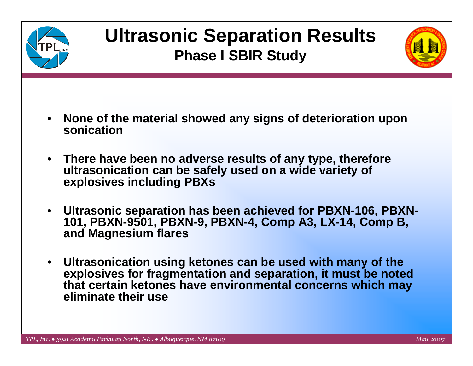

## **Ultrasonic Separation Results Phase I SBIR Study**



- • **None of the material showed any signs of deterioration upon sonication**
- **There have been no adverse results of any type, therefore ultrasonication can be safely used on a wide variety of explosives including PBXs**
- $\bullet$  **Ultrasonic separation has been achieved for PBXN-106, PBXN-101, PBXN-9501, PBXN-9, PBXN-4, Comp A3, LX-14, Comp B, and Magnesium flares**
- $\bullet$  **Ultrasonication using ketones can be used with many of the explosives for fragmentation and separation, it must be noted that certain ketones have environmental concerns which may eliminate their use**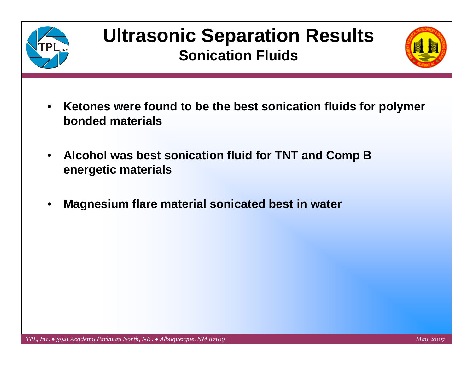

### **Ultrasonic Separation Results Sonication Fluids**



- $\bullet$  **Ketones were found to be the best sonication fluids for polymer bonded materials**
- • **Alcohol was best sonication fluid for TNT and Comp B energetic materials**
- •**Magnesium flare material sonicated best in water**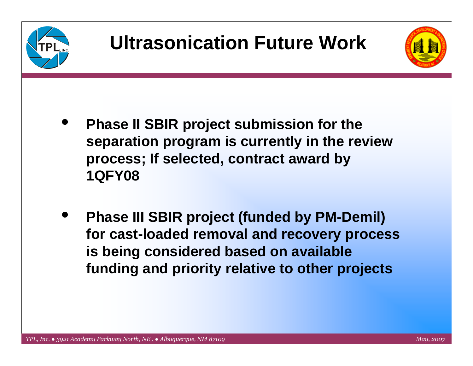



- $\bullet$  **Phase II SBIR project submission for the separation program is currently in the review process; If selected, contract award by 1QFY08**
- $\bullet$  **Phase III SBIR project (funded by PM-Demil) for cast-loaded removal and recovery process is being considered based on available funding and priority relative to other projects**